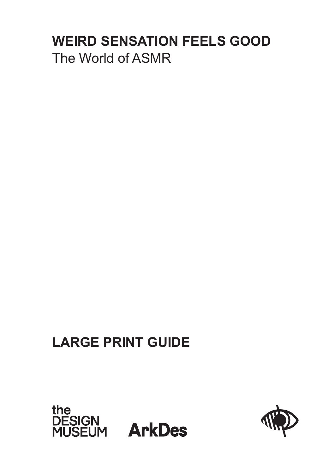# **WEIRD SENSATION FEELS GOOD** The World of ASMR

# **LARGE PRINT GUIDE**



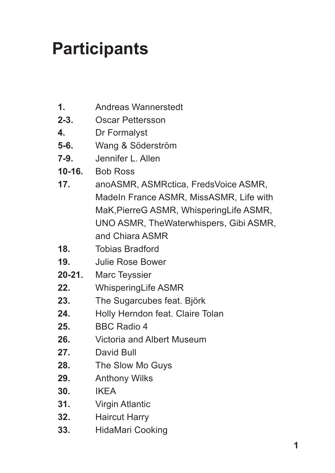# **Participants**

- Andreas Wannerstedt **1.**
- Oscar Pettersson **2-3.**
- Dr Formalyst **4.**
- Wang & Söderström **5-6.**
- Jennifer L. Allen **7-9.**
- Bob Ross **10-16.**
- anoASMR, ASMRctica, FredsVoice ASMR, MadeIn France ASMR, MissASMR, Life with MaK,PierreG ASMR, WhisperingLife ASMR, UNO ASMR, TheWaterwhispers, Gibi ASMR, and Chiara ASMR **17.**
- Tobias Bradford **18.**
- Julie Rose Bower **19.**
- Marc Teyssier **20-21.**
- WhisperingLife ASMR **22.**
- The Sugarcubes feat. Björk **23.**
- Holly Herndon feat. Claire Tolan **24.**
- BBC Radio 4 **25.**
- Victoria and Albert Museum **26.**
- David Bull **27.**
- The Slow Mo Guys **28.**
- Anthony Wilks **29.**
- IKEA **30.**
- Virgin Atlantic **31.**
- Haircut Harry **32.**
- HidaMari Cooking **33.**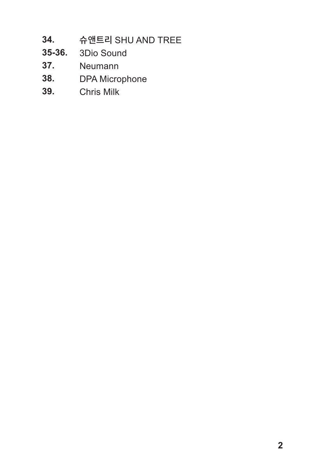- 슈앤트리 SHU AND TREE **34.**
- 3Dio Sound **35-36.**
- Neumann **37.**
- DPA Microphone **38.**
- Chris Milk **39.**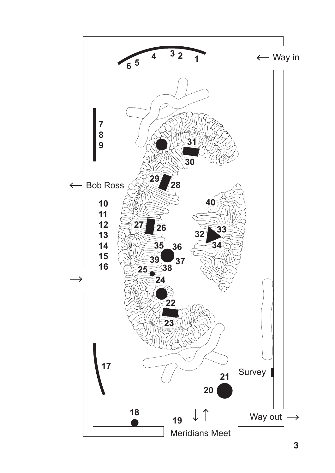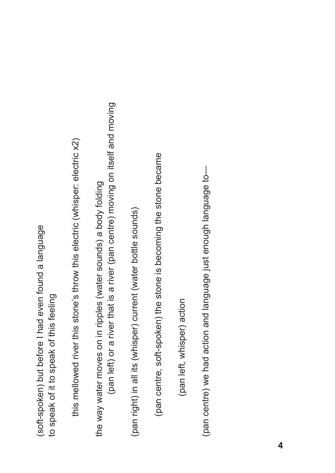(soft-spoken) but before I had even found a language (soft-spoken) but before I had even found a language to speak of it to speak of this feeling to speak of it to speak of this feeling

this mellowed river this stone's throw this electric (whisper: electric x2) this mellowed river this stone's throw this electric (whisper: electric x2)

(pan left) or a river that is a river (pan centre) moving on itself and moving (pan left) or a river that is a river (pan centre) moving on itself and moving the way water moves on in ripples (water sounds) a body folding the way water moves on in ripples (water sounds) a body folding

(pan right) in all its (whisper) current (water bottle sounds) (pan right) in all its (whisper) current (water bottle sounds)

(pan centre, soft-spoken) the stone is becoming the stone became (pan centre, soft-spoken) the stone is becoming the stone became

(pan left, whisper) action (pan left, whisper) action

(pan centre) we had action and language just enough language to-(pan centre) we had action and language just enough language to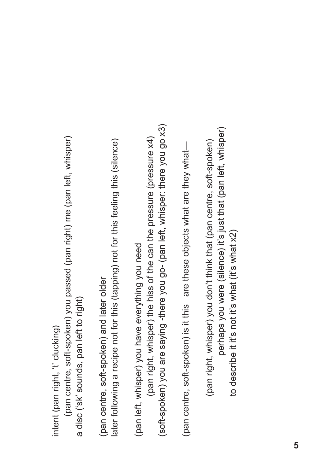intent (pan right, 't' clucking) intent (pan right, 't' clucking)

(pan centre, soft-spoken) you passed (pan right) me (pan left, whisper) (pan centre, soft-spoken) you passed (pan right) me (pan left, whisper) a disc ('sk' sounds, pan left to right) a disc ('sk' sounds, pan left to right)

later following a recipe not for this (tapping) not for this feeling this (silence) later following a recipe not for this (tapping) not for this feeling this (silence) (pan centre, soft-spoken) and later older (pan centre, soft-spoken) and later older

(soft-spoken) you are saying -there you go- (pan left, whisper: there you go x3) (soft-spoken) you are saying -there you go- (pan left, whisper: there you go x3) (pan right, whisper) the hiss of the can the pressure (pressure x4) (pan right, whisper) the hiss of the can the pressure (pressure x4) (pan left, whisper) you have everything you need (pan left, whisper) you have everything you need

(pan centre, soft-spoken) is it this are these objects what are they what-(pan centre, soft-spoken) is it this are these objects what are they what—

perhaps you were (silence) it's just that (pan left, whisper) perhaps you were (silence) it's just that (pan left, whisper) (pan right, whisper) you don't think that (pan centre, soft-spoken) (pan right, whisper) you don't think that (pan centre, soft-spoken) to describe it it's not it's what (it's what x2) to describe it it's not it's what (it's what x2)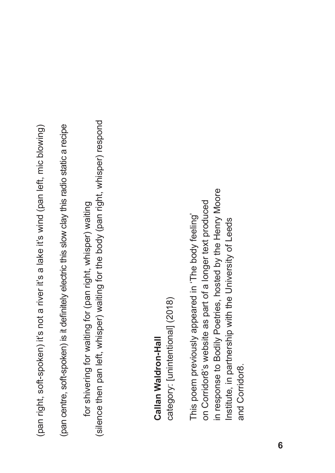(pan right, soft-spoken) it's not a river it's a lake it's wind (pan left, mic blowing) (pan right, soft-spoken) it's not a river it's a lake it's wind (pan left, mic blowing)

(pan centre, soft-spoken) is it definitely electric this slow clay this radio static a recipe (pan centre, soft-spoken) is it definitely electric this slow clay this radio static a recipe

(silence then pan left, whisper) waiting for the body (pan right, whisper) respond (silence then pan left, whisper) waiting for the body (pan right, whisper) respondfor shivering for waiting for (pan right, whisper) waiting for shivering for waiting for (pan right, whisper) waiting

# Callan Waldron-Hall **Callan Waldron-Hall**

category: [unintentional] (2018) category: [unintentional] (2018)

in response to Bodily Poetries, hosted by the Henry Moore in response to Bodily Poetries, hosted by the Henry Moore on Corridor8's website as part of a longer text produced on Corridor8's website as part of a longer text produced This poem previously appeared in 'The body feeling' This poem previously appeared in 'The body feeling' Institute, in partnership with the University of Leeds Institute, in partnership with the University of Leeds and Corridor8. and Corridor8.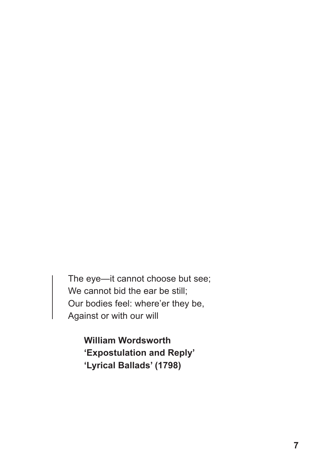The eye—it cannot choose but see; We cannot bid the ear be still; Our bodies feel: where'er they be, Against or with our will

> **William Wordsworth 'Expostulation and Reply' 'Lyrical Ballads' (1798)**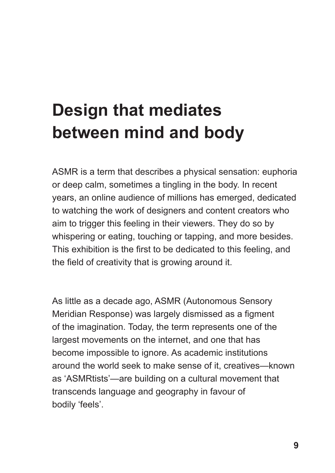# **Design that mediates between mind and body**

ASMR is a term that describes a physical sensation: euphoria or deep calm, sometimes a tingling in the body. In recent years, an online audience of millions has emerged, dedicated to watching the work of designers and content creators who aim to trigger this feeling in their viewers. They do so by whispering or eating, touching or tapping, and more besides. This exhibition is the first to be dedicated to this feeling, and the field of creativity that is growing around it.

As little as a decade ago, ASMR (Autonomous Sensory Meridian Response) was largely dismissed as a figment of the imagination. Today, the term represents one of the largest movements on the internet, and one that has become impossible to ignore. As academic institutions around the world seek to make sense of it, creatives—known as 'ASMRtists'—are building on a cultural movement that transcends language and geography in favour of bodily 'feels'.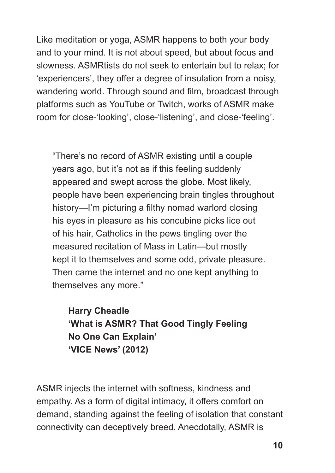Like meditation or yoga, ASMR happens to both your body and to your mind. It is not about speed, but about focus and slowness. ASMRtists do not seek to entertain but to relax; for 'experiencers', they offer a degree of insulation from a noisy, wandering world. Through sound and film, broadcast through platforms such as YouTube or Twitch, works of ASMR make room for close-'looking', close-'listening', and close-'feeling'.

"There's no record of ASMR existing until a couple years ago, but it's not as if this feeling suddenly appeared and swept across the globe. Most likely, people have been experiencing brain tingles throughout history—I'm picturing a filthy nomad warlord closing his eyes in pleasure as his concubine picks lice out of his hair, Catholics in the pews tingling over the measured recitation of Mass in Latin—but mostly kept it to themselves and some odd, private pleasure. Then came the internet and no one kept anything to themselves any more."

**Harry Cheadle 'What is ASMR? That Good Tingly Feeling No One Can Explain' 'VICE News' (2012)** 

ASMR injects the internet with softness, kindness and empathy. As a form of digital intimacy, it offers comfort on demand, standing against the feeling of isolation that constant connectivity can deceptively breed. Anecdotally, ASMR is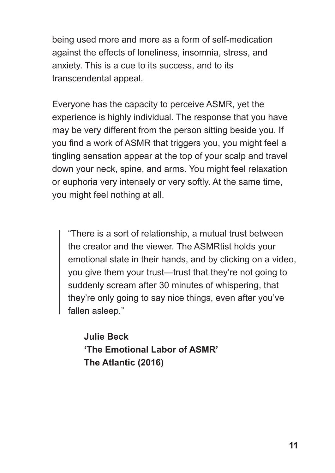being used more and more as a form of self-medication against the effects of loneliness, insomnia, stress, and anxiety. This is a cue to its success, and to its transcendental appeal.

Everyone has the capacity to perceive ASMR, yet the experience is highly individual. The response that you have may be very different from the person sitting beside you. If you find a work of ASMR that triggers you, you might feel a tingling sensation appear at the top of your scalp and travel down your neck, spine, and arms. You might feel relaxation or euphoria very intensely or very softly. At the same time, you might feel nothing at all.

"There is a sort of relationship, a mutual trust between the creator and the viewer. The ASMRtist holds your emotional state in their hands, and by clicking on a video, you give them your trust—trust that they're not going to suddenly scream after 30 minutes of whispering, that they're only going to say nice things, even after you've fallen asleep."

**Julie Beck 'The Emotional Labor of ASMR' The Atlantic (2016)**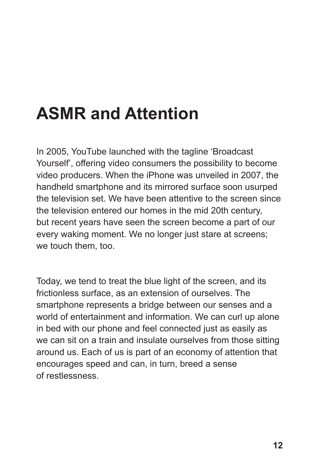# **ASMR and Attention**

In 2005, YouTube launched with the tagline 'Broadcast Yourself', offering video consumers the possibility to become video producers. When the iPhone was unveiled in 2007, the handheld smartphone and its mirrored surface soon usurped the television set. We have been attentive to the screen since the television entered our homes in the mid 20th century, but recent years have seen the screen become a part of our every waking moment. We no longer just stare at screens; we touch them, too.

Today, we tend to treat the blue light of the screen, and its frictionless surface, as an extension of ourselves. The smartphone represents a bridge between our senses and a world of entertainment and information. We can curl up alone in bed with our phone and feel connected just as easily as we can sit on a train and insulate ourselves from those sitting around us. Each of us is part of an economy of attention that encourages speed and can, in turn, breed a sense of restlessness.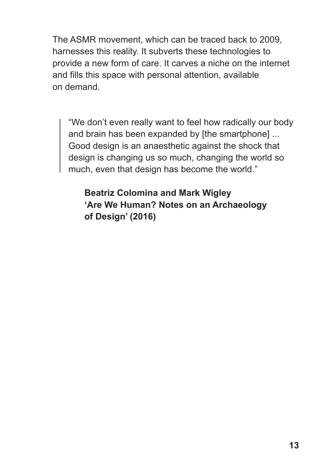The ASMR movement, which can be traced back to 2009, harnesses this reality. It subverts these technologies to provide a new form of care. It carves a niche on the internet and fills this space with personal attention, available on demand.

"We don't even really want to feel how radically our body and brain has been expanded by [the smartphone] ... Good design is an anaesthetic against the shock that design is changing us so much, changing the world so much, even that design has become the world."

**Beatriz Colomina and Mark Wigley 'Are We Human? Notes on an Archaeology of Design' (2016)**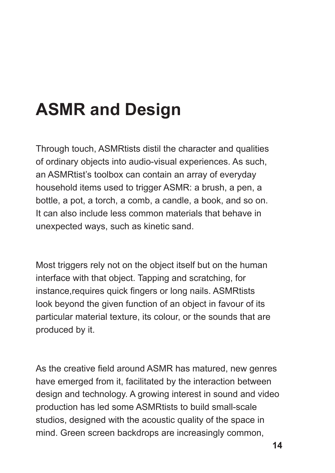# **ASMR and Design**

Through touch, ASMRtists distil the character and qualities of ordinary objects into audio-visual experiences. As such, an ASMRtist's toolbox can contain an array of everyday household items used to trigger ASMR: a brush, a pen, a bottle, a pot, a torch, a comb, a candle, a book, and so on. It can also include less common materials that behave in unexpected ways, such as kinetic sand.

Most triggers rely not on the object itself but on the human interface with that object. Tapping and scratching, for instance,requires quick fingers or long nails. ASMRtists look beyond the given function of an object in favour of its particular material texture, its colour, or the sounds that are produced by it.

As the creative field around ASMR has matured, new genres have emerged from it, facilitated by the interaction between design and technology. A growing interest in sound and video production has led some ASMRtists to build small-scale studios, designed with the acoustic quality of the space in mind. Green screen backdrops are increasingly common,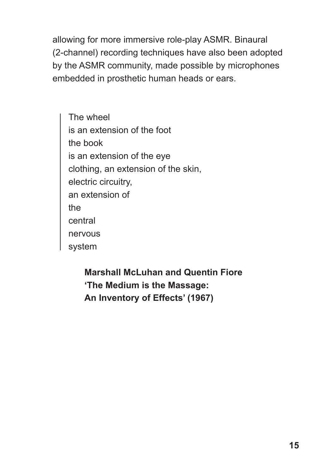allowing for more immersive role-play ASMR. Binaural (2-channel) recording techniques have also been adopted by the ASMR community, made possible by microphones embedded in prosthetic human heads or ears.

The wheel is an extension of the foot the book is an extension of the eye clothing, an extension of the skin, electric circuitry, an extension of the central nervous system

> **Marshall McLuhan and Quentin Fiore 'The Medium is the Massage: An Inventory of Effects' (1967)**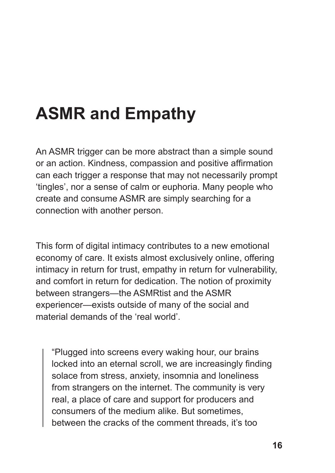# **ASMR and Empathy**

An ASMR trigger can be more abstract than a simple sound or an action. Kindness, compassion and positive affirmation can each trigger a response that may not necessarily prompt 'tingles', nor a sense of calm or euphoria. Many people who create and consume ASMR are simply searching for a connection with another person.

This form of digital intimacy contributes to a new emotional economy of care. It exists almost exclusively online, offering intimacy in return for trust, empathy in return for vulnerability, and comfort in return for dedication. The notion of proximity between strangers—the ASMRtist and the ASMR experiencer—exists outside of many of the social and material demands of the 'real world'.

"Plugged into screens every waking hour, our brains locked into an eternal scroll, we are increasingly finding solace from stress, anxiety, insomnia and loneliness from strangers on the internet. The community is very real, a place of care and support for producers and consumers of the medium alike. But sometimes, between the cracks of the comment threads, it's too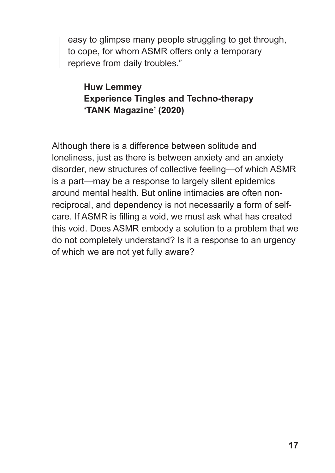easy to glimpse many people struggling to get through, to cope, for whom ASMR offers only a temporary reprieve from daily troubles."

#### **Huw Lemmey Experience Tingles and Techno-therapy 'TANK Magazine' (2020)**

Although there is a difference between solitude and loneliness, just as there is between anxiety and an anxiety disorder, new structures of collective feeling—of which ASMR is a part—may be a response to largely silent epidemics around mental health. But online intimacies are often nonreciprocal, and dependency is not necessarily a form of selfcare. If ASMR is filling a void, we must ask what has created this void. Does ASMR embody a solution to a problem that we do not completely understand? Is it a response to an urgency of which we are not yet fully aware?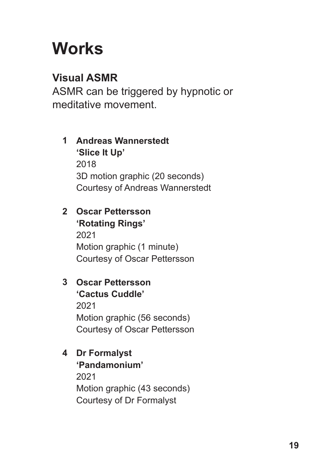# **Works**

# **Visual ASMR**

ASMR can be triggered by hypnotic or meditative movement.

# **Andreas Wannerstedt 1 'Slice It Up'** 2018 3D motion graphic (20 seconds) Courtesy of Andreas Wannerstedt

### **Oscar Pettersson 2 'Rotating Rings'**

2021 Motion graphic (1 minute) Courtesy of Oscar Pettersson

# **Oscar Pettersson 3 'Cactus Cuddle'**

2021 Motion graphic (56 seconds) Courtesy of Oscar Pettersson

# **Dr Formalyst 4**

**'Pandamonium'** 2021 Motion graphic (43 seconds) Courtesy of Dr Formalyst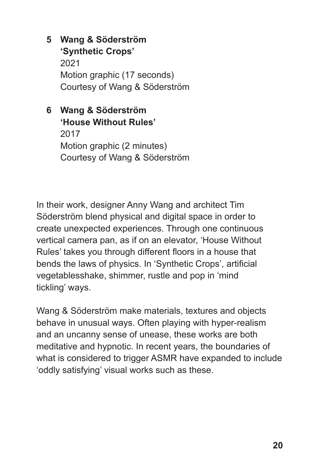- **Wang & Söderström 5 'Synthetic Crops'** 2021 Motion graphic (17 seconds) Courtesy of Wang & Söderström
- **Wang & Söderström 6 'House Without Rules'** 2017 Motion graphic (2 minutes) Courtesy of Wang & Söderström

In their work, designer Anny Wang and architect Tim Söderström blend physical and digital space in order to create unexpected experiences. Through one continuous vertical camera pan, as if on an elevator, 'House Without Rules' takes you through different floors in a house that bends the laws of physics. In 'Synthetic Crops', artificial vegetablesshake, shimmer, rustle and pop in 'mind tickling' ways.

Wang & Söderström make materials, textures and objects behave in unusual ways. Often playing with hyper-realism and an uncanny sense of unease, these works are both meditative and hypnotic. In recent years, the boundaries of what is considered to trigger ASMR have expanded to include 'oddly satisfying' visual works such as these.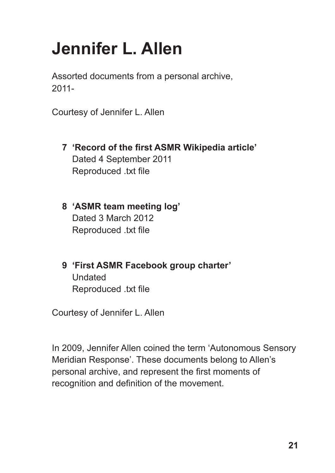# **Jennifer L. Allen**

Assorted documents from a personal archive, 2011-

Courtesy of Jennifer L. Allen

- **'Record of the first ASMR Wikipedia article' 7** Dated 4 September 2011 Reproduced .txt file
- **'ASMR team meeting log' 8** Dated 3 March 2012 Reproduced .txt file
- **'First ASMR Facebook group charter' 9** Undated Reproduced .txt file

Courtesy of Jennifer L. Allen

In 2009, Jennifer Allen coined the term 'Autonomous Sensory Meridian Response'. These documents belong to Allen's personal archive, and represent the first moments of recognition and definition of the movement.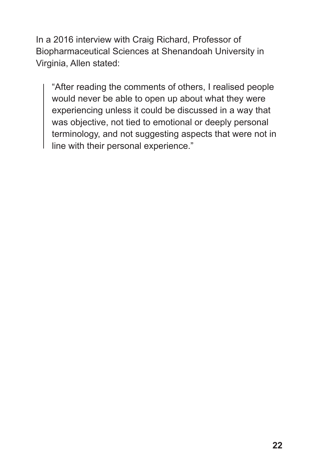In a 2016 interview with Craig Richard, Professor of Biopharmaceutical Sciences at Shenandoah University in Virginia, Allen stated:

"After reading the comments of others, I realised people would never be able to open up about what they were experiencing unless it could be discussed in a way that was objective, not tied to emotional or deeply personal terminology, and not suggesting aspects that were not in line with their personal experience."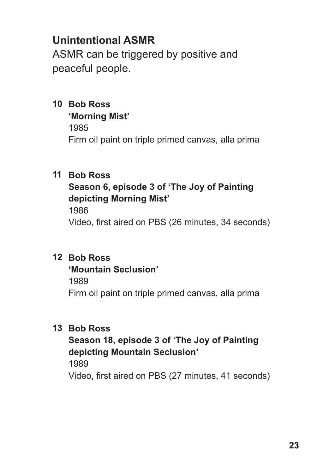ASMR can be triggered by positive and peaceful people.

- **Bob Ross 10 'Morning Mist'**
	- 1985

Firm oil paint on triple primed canvas, alla prima

# **Bob Ross 11**

### **Season 6, episode 3 of 'The Joy of Painting depicting Morning Mist'**

1986

Video, first aired on PBS (26 minutes, 34 seconds)

#### **Bob Ross 12**

#### **'Mountain Seclusion'**

1989

Firm oil paint on triple primed canvas, alla prima

### **Bob Ross 13**

# **Season 18, episode 3 of 'The Joy of Painting depicting Mountain Seclusion'**

1989

Video, first aired on PBS (27 minutes, 41 seconds)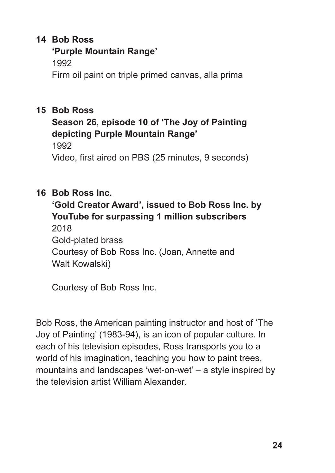### 14 Bob Ross

### **'Purple Mountain Range'**

1992

Firm oil paint on triple primed canvas, alla prima

# 15 Bob Ross

# **Season 26, episode 10 of 'The Joy of Painting depicting Purple Mountain Range'**

1992

Video, first aired on PBS (25 minutes, 9 seconds)

# **Bob Ross Inc. 16**

**'Gold Creator Award', issued to Bob Ross Inc. by YouTube for surpassing 1 million subscribers** 2018 Gold-plated brass Courtesy of Bob Ross Inc. (Joan, Annette and

Walt Kowalski)

Courtesy of Bob Ross Inc.

Bob Ross, the American painting instructor and host of 'The Joy of Painting' (1983-94), is an icon of popular culture. In each of his television episodes, Ross transports you to a world of his imagination, teaching you how to paint trees, mountains and landscapes 'wet-on-wet' – a style inspired by the television artist William Alexander.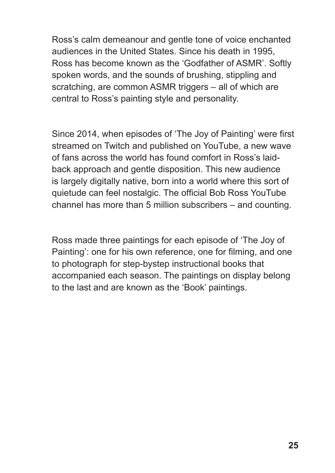Ross's calm demeanour and gentle tone of voice enchanted audiences in the United States. Since his death in 1995, Ross has become known as the 'Godfather of ASMR'. Softly spoken words, and the sounds of brushing, stippling and scratching, are common ASMR triggers – all of which are central to Ross's painting style and personality.

Since 2014, when episodes of 'The Joy of Painting' were first streamed on Twitch and published on YouTube, a new wave of fans across the world has found comfort in Ross's laidback approach and gentle disposition. This new audience is largely digitally native, born into a world where this sort of quietude can feel nostalgic. The official Bob Ross YouTube channel has more than 5 million subscribers – and counting.

Ross made three paintings for each episode of 'The Joy of Painting': one for his own reference, one for filming, and one to photograph for step-bystep instructional books that accompanied each season. The paintings on display belong to the last and are known as the 'Book' paintings.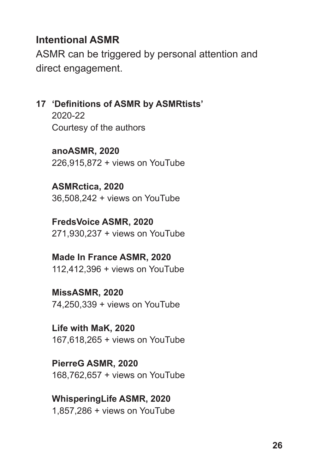# **Intentional ASMR**

ASMR can be triggered by personal attention and direct engagement.

**'Definitions of ASMR by ASMRtists' 17**

2020-22 Courtesy of the authors

**anoASMR, 2020**  226,915,872 + views on YouTube

**ASMRctica, 2020** 36,508,242 + views on YouTube

**FredsVoice ASMR, 2020** 271,930,237 + views on YouTube

**Made In France ASMR, 2020** 112,412,396 + views on YouTube

**MissASMR, 2020** 74,250,339 + views on YouTube

**Life with MaK, 2020** 167,618,265 + views on YouTube

**PierreG ASMR, 2020**  168,762,657 + views on YouTube

**WhisperingLife ASMR, 2020**  1,857,286 + views on YouTube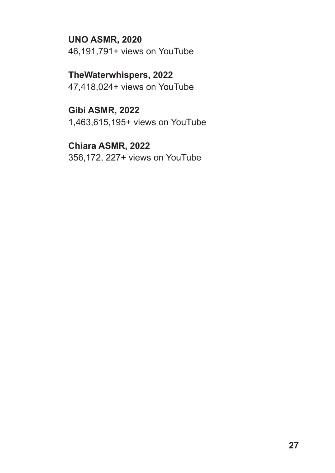**UNO ASMR, 2020**  46,191,791+ views on YouTube

**TheWaterwhispers, 2022** 47,418,024+ views on YouTube

**Gibi ASMR, 2022** 1,463,615,195+ views on YouTube

**Chiara ASMR, 2022** 356,172, 227+ views on YouTube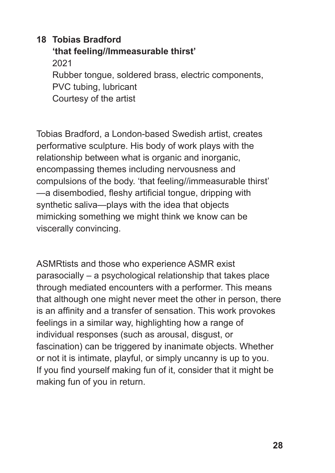## **Tobias Bradford 18 'that feeling//Immeasurable thirst'** 2021 Rubber tongue, soldered brass, electric components, PVC tubing, lubricant Courtesy of the artist

Tobias Bradford, a London-based Swedish artist, creates performative sculpture. His body of work plays with the relationship between what is organic and inorganic, encompassing themes including nervousness and compulsions of the body. 'that feeling//immeasurable thirst' —a disembodied, fleshy artificial tongue, dripping with synthetic saliva—plays with the idea that objects mimicking something we might think we know can be viscerally convincing.

ASMRtists and those who experience ASMR exist parasocially – a psychological relationship that takes place through mediated encounters with a performer. This means that although one might never meet the other in person, there is an affinity and a transfer of sensation. This work provokes feelings in a similar way, highlighting how a range of individual responses (such as arousal, disgust, or fascination) can be triggered by inanimate objects. Whether or not it is intimate, playful, or simply uncanny is up to you. If you find yourself making fun of it, consider that it might be making fun of you in return.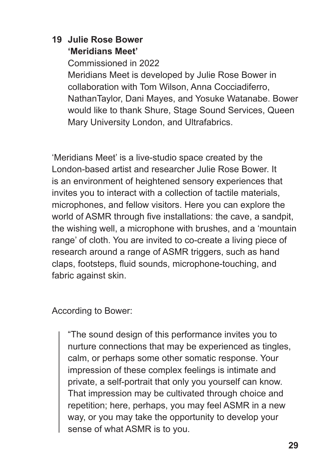### **Julie Rose Bower 19 'Meridians Meet'**

Commissioned in 2022 Meridians Meet is developed by Julie Rose Bower in collaboration with Tom Wilson, Anna Cocciadiferro, NathanTaylor, Dani Mayes, and Yosuke Watanabe. Bower would like to thank Shure, Stage Sound Services, Queen Mary University London, and Ultrafabrics.

'Meridians Meet' is a live-studio space created by the London-based artist and researcher Julie Rose Bower. It is an environment of heightened sensory experiences that invites you to interact with a collection of tactile materials, microphones, and fellow visitors. Here you can explore the world of ASMR through five installations: the cave, a sandpit, the wishing well, a microphone with brushes, and a 'mountain range' of cloth. You are invited to co-create a living piece of research around a range of ASMR triggers, such as hand claps, footsteps, fluid sounds, microphone-touching, and fabric against skin.

According to Bower:

"The sound design of this performance invites you to nurture connections that may be experienced as tingles, calm, or perhaps some other somatic response. Your impression of these complex feelings is intimate and private, a self-portrait that only you yourself can know. That impression may be cultivated through choice and repetition; here, perhaps, you may feel ASMR in a new way, or you may take the opportunity to develop your sense of what ASMR is to you.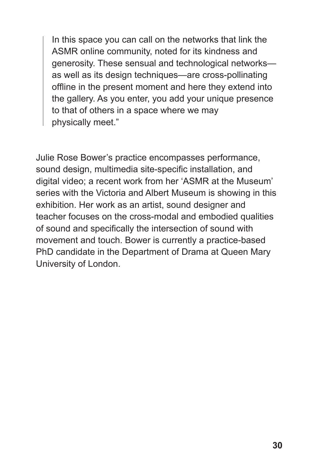In this space you can call on the networks that link the ASMR online community, noted for its kindness and generosity. These sensual and technological networks as well as its design techniques—are cross-pollinating offline in the present moment and here they extend into the gallery. As you enter, you add your unique presence to that of others in a space where we may physically meet."

Julie Rose Bower's practice encompasses performance, sound design, multimedia site-specific installation, and digital video; a recent work from her 'ASMR at the Museum' series with the Victoria and Albert Museum is showing in this exhibition. Her work as an artist, sound designer and teacher focuses on the cross-modal and embodied qualities of sound and specifically the intersection of sound with movement and touch. Bower is currently a practice-based PhD candidate in the Department of Drama at Queen Mary University of London.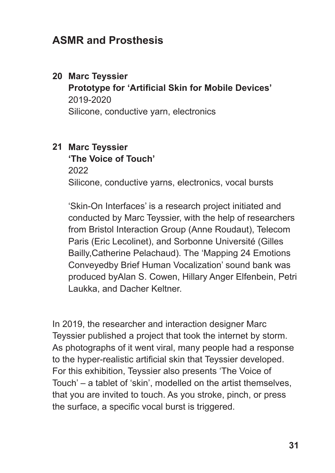# **ASMR and Prosthesis**

#### **Marc Teyssier 20**

**Prototype for 'Artificial Skin for Mobile Devices'** 2019-2020 Silicone, conductive yarn, electronics

# **Marc Teyssier 21**

# **'The Voice of Touch'**

2022

Silicone, conductive yarns, electronics, vocal bursts

'Skin-On Interfaces' is a research project initiated and conducted by Marc Teyssier, with the help of researchers from Bristol Interaction Group (Anne Roudaut), Telecom Paris (Eric Lecolinet), and Sorbonne Université (Gilles Bailly,Catherine Pelachaud). The 'Mapping 24 Emotions Conveyedby Brief Human Vocalization' sound bank was produced byAlan S. Cowen, Hillary Anger Elfenbein, Petri Laukka, and Dacher Keltner.

In 2019, the researcher and interaction designer Marc Teyssier published a project that took the internet by storm. As photographs of it went viral, many people had a response to the hyper-realistic artificial skin that Teyssier developed. For this exhibition, Teyssier also presents 'The Voice of Touch' – a tablet of 'skin', modelled on the artist themselves, that you are invited to touch. As you stroke, pinch, or press the surface, a specific vocal burst is triggered.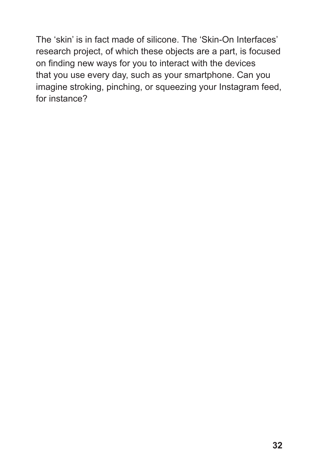The 'skin' is in fact made of silicone. The 'Skin-On Interfaces' research project, of which these objects are a part, is focused on finding new ways for you to interact with the devices that you use every day, such as your smartphone. Can you imagine stroking, pinching, or squeezing your Instagram feed, for instance?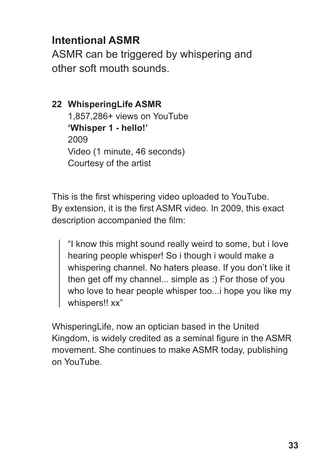# **Intentional ASMR**

ASMR can be triggered by whispering and other soft mouth sounds.

# **WhisperingLife ASMR 22** 1,857,286+ views on YouTube **'Whisper 1 - hello!'** 2009 Video (1 minute, 46 seconds) Courtesy of the artist

This is the first whispering video uploaded to YouTube. By extension, it is the first ASMR video. In 2009, this exact description accompanied the film:

"I know this might sound really weird to some, but i love hearing people whisper! So i though i would make a whispering channel. No haters please. If you don't like it then get off my channel... simple as :) For those of you who love to hear people whisper too...i hope you like my whispers!! xx"

WhisperingLife, now an optician based in the United Kingdom, is widely credited as a seminal figure in the ASMR movement. She continues to make ASMR today, publishing on YouTube.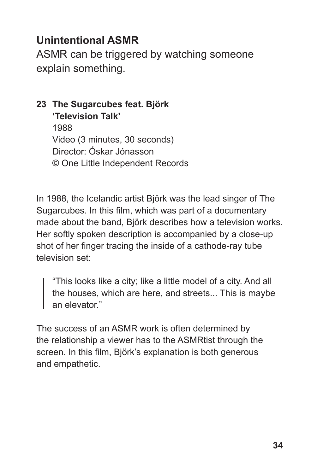ASMR can be triggered by watching someone explain something.

#### **The Sugarcubes feat. Björk 23 'Television Talk'**

1988 Video (3 minutes, 30 seconds) Director: Óskar Jónasson © One Little Independent Records

In 1988, the Icelandic artist Björk was the lead singer of The Sugarcubes. In this film, which was part of a documentary made about the band, Björk describes how a television works. Her softly spoken description is accompanied by a close-up shot of her finger tracing the inside of a cathode-ray tube television set:

"This looks like a city; like a little model of a city. And all the houses, which are here, and streets... This is maybe an elevator."

The success of an ASMR work is often determined by the relationship a viewer has to the ASMRtist through the screen. In this film, Björk's explanation is both generous and empathetic.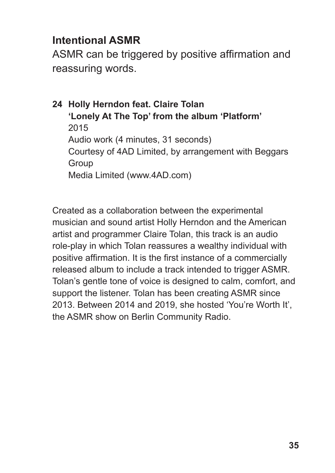# **Intentional ASMR**

ASMR can be triggered by positive affirmation and reassuring words.

**Holly Herndon feat. Claire Tolan 24 'Lonely At The Top' from the album 'Platform'** 2015 Audio work (4 minutes, 31 seconds) Courtesy of 4AD Limited, by arrangement with Beggars **Group** Media Limited (www.4AD.com)

Created as a collaboration between the experimental musician and sound artist Holly Herndon and the American artist and programmer Claire Tolan, this track is an audio role-play in which Tolan reassures a wealthy individual with positive affirmation. It is the first instance of a commercially released album to include a track intended to trigger ASMR. Tolan's gentle tone of voice is designed to calm, comfort, and support the listener. Tolan has been creating ASMR since 2013. Between 2014 and 2019, she hosted 'You're Worth It', the ASMR show on Berlin Community Radio.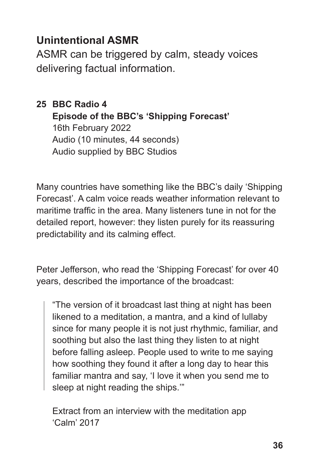ASMR can be triggered by calm, steady voices delivering factual information.

# **BBC Radio 4 25 Episode of the BBC's 'Shipping Forecast'** 16th February 2022 Audio (10 minutes, 44 seconds) Audio supplied by BBC Studios

Many countries have something like the BBC's daily 'Shipping Forecast'. A calm voice reads weather information relevant to maritime traffic in the area. Many listeners tune in not for the detailed report, however: they listen purely for its reassuring predictability and its calming effect.

Peter Jefferson, who read the 'Shipping Forecast' for over 40 years, described the importance of the broadcast:

"The version of it broadcast last thing at night has been likened to a meditation, a mantra, and a kind of lullaby since for many people it is not just rhythmic, familiar, and soothing but also the last thing they listen to at night before falling asleep. People used to write to me saying how soothing they found it after a long day to hear this familiar mantra and say, 'I love it when you send me to sleep at night reading the ships.'"

Extract from an interview with the meditation app 'Calm' 2017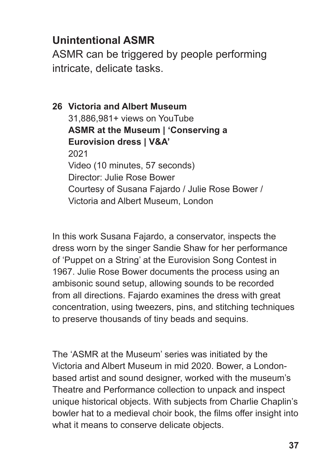ASMR can be triggered by people performing intricate, delicate tasks.

**Victoria and Albert Museum 26** 31,886,981+ views on YouTube **ASMR at the Museum | 'Conserving a Eurovision dress | V&A'** 2021 Video (10 minutes, 57 seconds) Director: Julie Rose Bower Courtesy of Susana Fajardo / Julie Rose Bower / Victoria and Albert Museum, London

In this work Susana Fajardo, a conservator, inspects the dress worn by the singer Sandie Shaw for her performance of 'Puppet on a String' at the Eurovision Song Contest in 1967. Julie Rose Bower documents the process using an ambisonic sound setup, allowing sounds to be recorded from all directions. Fajardo examines the dress with great concentration, using tweezers, pins, and stitching techniques to preserve thousands of tiny beads and sequins.

The 'ASMR at the Museum' series was initiated by the Victoria and Albert Museum in mid 2020. Bower, a Londonbased artist and sound designer, worked with the museum's Theatre and Performance collection to unpack and inspect unique historical objects. With subjects from Charlie Chaplin's bowler hat to a medieval choir book, the films offer insight into what it means to conserve delicate objects.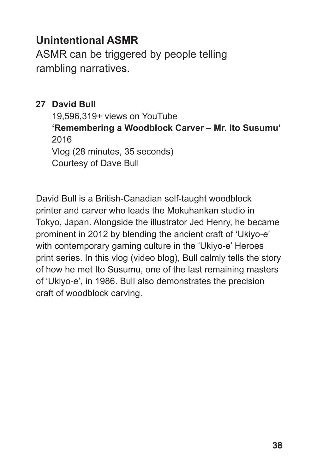ASMR can be triggered by people telling rambling narratives.

### **David Bull 27**

19,596,319+ views on YouTube **'Remembering a Woodblock Carver – Mr. Ito Susumu'** 2016 Vlog (28 minutes, 35 seconds) Courtesy of Dave Bull

David Bull is a British-Canadian self-taught woodblock printer and carver who leads the Mokuhankan studio in Tokyo, Japan. Alongside the illustrator Jed Henry, he became prominent in 2012 by blending the ancient craft of 'Ukiyo-e' with contemporary gaming culture in the 'Ukiyo-e' Heroes print series. In this vlog (video blog), Bull calmly tells the story of how he met Ito Susumu, one of the last remaining masters of 'Ukiyo-e', in 1986. Bull also demonstrates the precision craft of woodblock carving.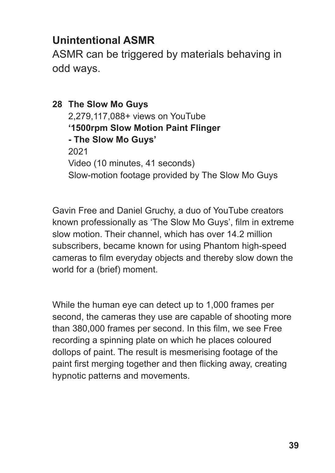ASMR can be triggered by materials behaving in odd ways.

**The Slow Mo Guys 28** 2,279,117,088+ views on YouTube **'1500rpm Slow Motion Paint Flinger - The Slow Mo Guys'** 2021 Video (10 minutes, 41 seconds) Slow-motion footage provided by The Slow Mo Guys

Gavin Free and Daniel Gruchy, a duo of YouTube creators known professionally as 'The Slow Mo Guys', film in extreme slow motion. Their channel, which has over 14.2 million subscribers, became known for using Phantom high-speed cameras to film everyday objects and thereby slow down the world for a (brief) moment.

While the human eye can detect up to 1,000 frames per second, the cameras they use are capable of shooting more than 380,000 frames per second. In this film, we see Free recording a spinning plate on which he places coloured dollops of paint. The result is mesmerising footage of the paint first merging together and then flicking away, creating hypnotic patterns and movements.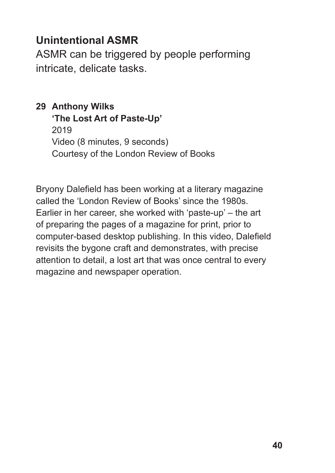ASMR can be triggered by people performing intricate, delicate tasks.

# **Anthony Wilks 29**

**'The Lost Art of Paste-Up'**

2019 Video (8 minutes, 9 seconds) Courtesy of the London Review of Books

Bryony Dalefield has been working at a literary magazine called the 'London Review of Books' since the 1980s. Earlier in her career, she worked with 'paste-up' – the art of preparing the pages of a magazine for print, prior to computer-based desktop publishing. In this video, Dalefield revisits the bygone craft and demonstrates, with precise attention to detail, a lost art that was once central to every magazine and newspaper operation.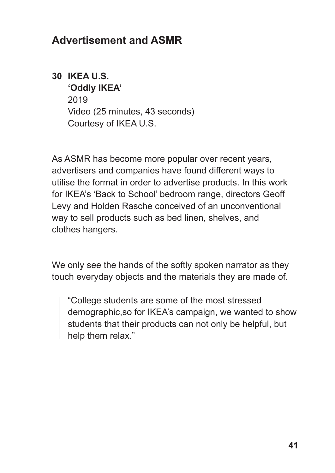# **Advertisement and ASMR**

# **IKEA U.S. 30**

**'Oddly IKEA'** 2019 Video (25 minutes, 43 seconds) Courtesy of IKEA U.S.

As ASMR has become more popular over recent years, advertisers and companies have found different ways to utilise the format in order to advertise products. In this work for IKEA's 'Back to School' bedroom range, directors Geoff Levy and Holden Rasche conceived of an unconventional way to sell products such as bed linen, shelves, and clothes hangers.

We only see the hands of the softly spoken narrator as they touch everyday objects and the materials they are made of.

"College students are some of the most stressed demographic,so for IKEA's campaign, we wanted to show students that their products can not only be helpful, but help them relax."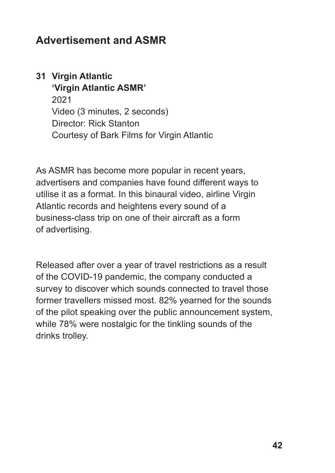# **Advertisement and ASMR**

#### **Virgin Atlantic 31 'Virgin Atlantic ASMR'**

2021 Video (3 minutes, 2 seconds) Director: Rick Stanton Courtesy of Bark Films for Virgin Atlantic

As ASMR has become more popular in recent years, advertisers and companies have found different ways to utilise it as a format. In this binaural video, airline Virgin Atlantic records and heightens every sound of a business-class trip on one of their aircraft as a form of advertising.

Released after over a year of travel restrictions as a result of the COVID-19 pandemic, the company conducted a survey to discover which sounds connected to travel those former travellers missed most. 82% yearned for the sounds of the pilot speaking over the public announcement system, while 78% were nostalgic for the tinkling sounds of the drinks trolley.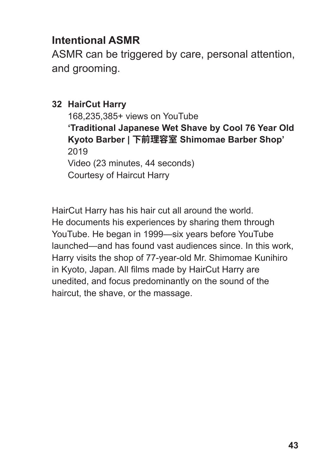# **Intentional ASMR**

ASMR can be triggered by care, personal attention, and grooming.

# **HairCut Harry 32**

168,235,385+ views on YouTube **'Traditional Japanese Wet Shave by Cool 76 Year Old Kyoto Barber | 下前理容室 Shimomae Barber Shop'** 2019 Video (23 minutes, 44 seconds) Courtesy of Haircut Harry

HairCut Harry has his hair cut all around the world. He documents his experiences by sharing them through YouTube. He began in 1999—six years before YouTube launched—and has found vast audiences since. In this work, Harry visits the shop of 77-year-old Mr. Shimomae Kunihiro in Kyoto, Japan. All films made by HairCut Harry are unedited, and focus predominantly on the sound of the haircut, the shave, or the massage.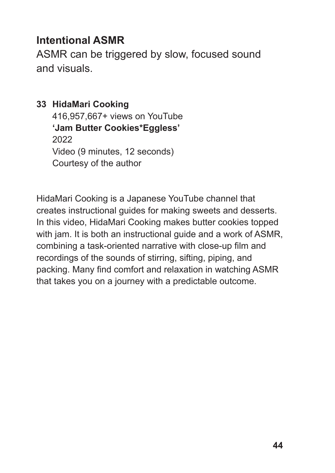# **Intentional ASMR**

ASMR can be triggered by slow, focused sound and visuals.

### **HidaMari Cooking 33**

416,957,667+ views on YouTube **'Jam Butter Cookies\*Eggless'** 2022 Video (9 minutes, 12 seconds) Courtesy of the author

HidaMari Cooking is a Japanese YouTube channel that creates instructional guides for making sweets and desserts. In this video, HidaMari Cooking makes butter cookies topped with jam. It is both an instructional guide and a work of ASMR, combining a task-oriented narrative with close-up film and recordings of the sounds of stirring, sifting, piping, and packing. Many find comfort and relaxation in watching ASMR that takes you on a journey with a predictable outcome.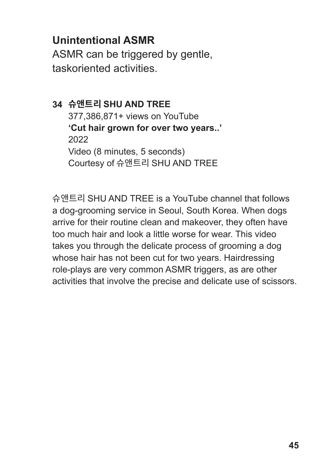ASMR can be triggered by gentle, taskoriented activities.

# **슈앤트리 SHU AND TREE 34** 377,386,871+ views on YouTube **'Cut hair grown for over two years..'** 2022 Video (8 minutes, 5 seconds) Courtesy of 슈앤트리 SHU AND TREE

슈앤트리 SHU AND TREE is a YouTube channel that follows a dog-grooming service in Seoul, South Korea. When dogs arrive for their routine clean and makeover, they often have too much hair and look a little worse for wear. This video takes you through the delicate process of grooming a dog whose hair has not been cut for two years. Hairdressing role-plays are very common ASMR triggers, as are other activities that involve the precise and delicate use of scissors.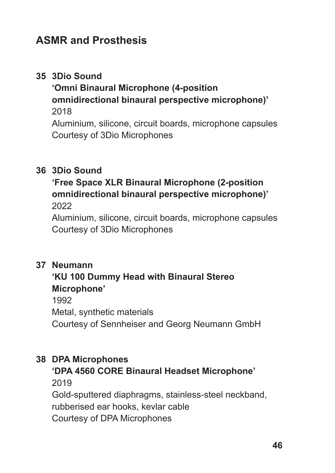# **ASMR and Prosthesis**

# **3Dio Sound 35**

**'Omni Binaural Microphone (4-position omnidirectional binaural perspective microphone)'** 2018

Aluminium, silicone, circuit boards, microphone capsules Courtesy of 3Dio Microphones

#### **3Dio Sound 36**

#### **'Free Space XLR Binaural Microphone (2-position omnidirectional binaural perspective microphone)'**  2022

Aluminium, silicone, circuit boards, microphone capsules Courtesy of 3Dio Microphones

#### **Neumann 37**

#### **'KU 100 Dummy Head with Binaural Stereo Microphone'**

1992

Metal, synthetic materials

Courtesy of Sennheiser and Georg Neumann GmbH

#### **DPA Microphones 38**

#### **'DPA 4560 CORE Binaural Headset Microphone'**

2019

Gold-sputtered diaphragms, stainless-steel neckband, rubberised ear hooks, kevlar cable Courtesy of DPA Microphones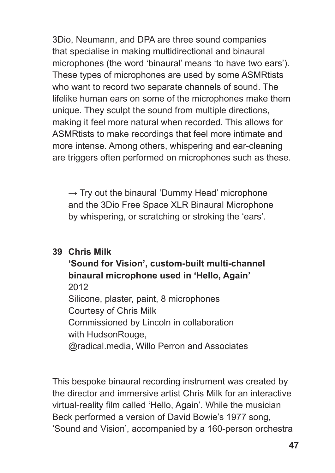3Dio, Neumann, and DPA are three sound companies that specialise in making multidirectional and binaural microphones (the word 'binaural' means 'to have two ears'). These types of microphones are used by some ASMRtists who want to record two separate channels of sound. The lifelike human ears on some of the microphones make them unique. They sculpt the sound from multiple directions, making it feel more natural when recorded. This allows for ASMRtists to make recordings that feel more intimate and more intense. Among others, whispering and ear-cleaning are triggers often performed on microphones such as these.

 $\rightarrow$  Try out the binaural 'Dummy Head' microphone and the 3Dio Free Space XLR Binaural Microphone by whispering, or scratching or stroking the 'ears'.

#### **39 Chris Milk**

**'Sound for Vision', custom-built multi-channel binaural microphone used in 'Hello, Again'** 2012 Silicone, plaster, paint, 8 microphones Courtesy of Chris Milk Commissioned by Lincoln in collaboration with HudsonRouge, @radical.media, Willo Perron and Associates

This bespoke binaural recording instrument was created by the director and immersive artist Chris Milk for an interactive virtual-reality film called 'Hello, Again'. While the musician Beck performed a version of David Bowie's 1977 song, 'Sound and Vision', accompanied by a 160-person orchestra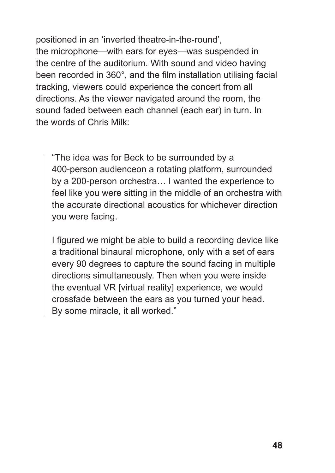positioned in an 'inverted theatre-in-the-round', the microphone—with ears for eyes—was suspended in the centre of the auditorium. With sound and video having been recorded in 360°, and the film installation utilising facial tracking, viewers could experience the concert from all directions. As the viewer navigated around the room, the sound faded between each channel (each ear) in turn. In the words of Chris Milk:

"The idea was for Beck to be surrounded by a 400-person audienceon a rotating platform, surrounded by a 200-person orchestra… I wanted the experience to feel like you were sitting in the middle of an orchestra with the accurate directional acoustics for whichever direction you were facing.

I figured we might be able to build a recording device like a traditional binaural microphone, only with a set of ears every 90 degrees to capture the sound facing in multiple directions simultaneously. Then when you were inside the eventual VR [virtual reality] experience, we would crossfade between the ears as you turned your head. By some miracle, it all worked."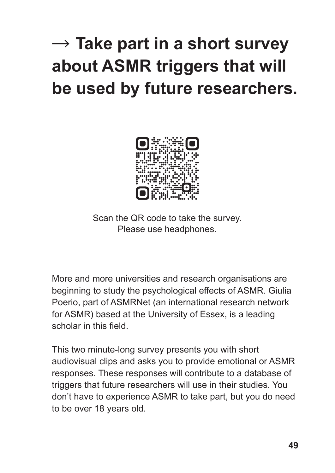# → **Take part in a short survey about ASMR triggers that will be used by future researchers.**



Scan the QR code to take the survey. Please use headphones.

More and more universities and research organisations are beginning to study the psychological effects of ASMR. Giulia Poerio, part of ASMRNet (an international research network for ASMR) based at the University of Essex, is a leading scholar in this field.

This two minute-long survey presents you with short audiovisual clips and asks you to provide emotional or ASMR responses. These responses will contribute to a database of triggers that future researchers will use in their studies. You don't have to experience ASMR to take part, but you do need to be over 18 years old.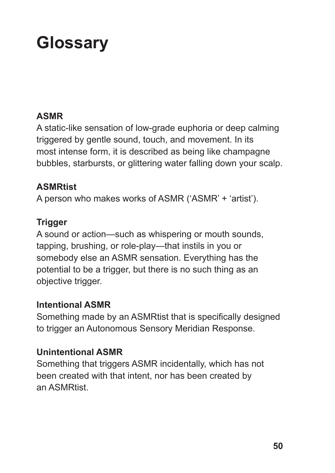# **Glossary**

#### **ASMR**

A static-like sensation of low-grade euphoria or deep calming triggered by gentle sound, touch, and movement. In its most intense form, it is described as being like champagne bubbles, starbursts, or glittering water falling down your scalp.

#### **ASMRtist**

A person who makes works of ASMR ('ASMR' + 'artist').

#### **Trigger**

A sound or action—such as whispering or mouth sounds, tapping, brushing, or role-play—that instils in you or somebody else an ASMR sensation. Everything has the potential to be a trigger, but there is no such thing as an objective trigger.

#### **Intentional ASMR**

Something made by an ASMRtist that is specifically designed to trigger an Autonomous Sensory Meridian Response.

### **Unintentional ASMR**

Something that triggers ASMR incidentally, which has not been created with that intent, nor has been created by an ASMRtist.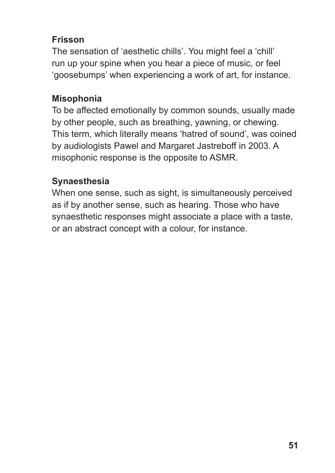# **Frisson**

The sensation of 'aesthetic chills'. You might feel a 'chill' run up your spine when you hear a piece of music, or feel 'goosebumps' when experiencing a work of art, for instance.

# **Misophonia**

To be affected emotionally by common sounds, usually made by other people, such as breathing, yawning, or chewing. This term, which literally means 'hatred of sound', was coined by audiologists Pawel and Margaret Jastreboff in 2003. A misophonic response is the opposite to ASMR.

### **Synaesthesia**

When one sense, such as sight, is simultaneously perceived as if by another sense, such as hearing. Those who have synaesthetic responses might associate a place with a taste, or an abstract concept with a colour, for instance.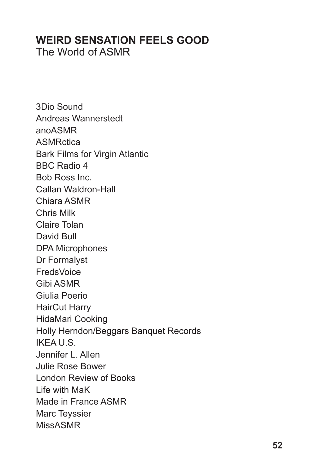# **WEIRD SENSATION FEELS GOOD**

The World of ASMR

3Dio Sound Andreas Wannerstedt anoASMR **ASMRctica** Bark Films for Virgin Atlantic BBC Radio 4 Bob Ross Inc. Callan Waldron-Hall Chiara ASMR Chris Milk Claire Tolan David Bull DPA Microphones Dr Formalyst **FredsVoice** Gibi ASMR Giulia Poerio HairCut Harry HidaMari Cooking Holly Herndon/Beggars Banquet Records IKEA U.S. Jennifer L. Allen Julie Rose Bower London Review of Books Life with MaK Made in France ASMR Marc Teyssier MissASMR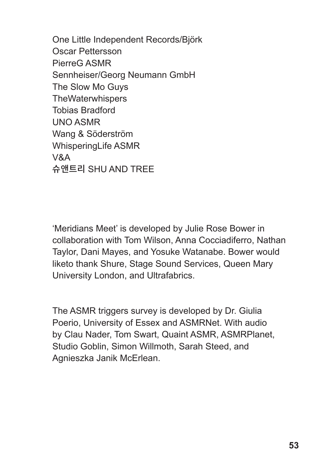One Little Independent Records/Björk Oscar Pettersson PierreG ASMR Sennheiser/Georg Neumann GmbH The Slow Mo Guys **TheWaterwhispers** Tobias Bradford UNO ASMR Wang & Söderström WhisperingLife ASMR V&A 슈앤트리 SHU AND TREE

'Meridians Meet' is developed by Julie Rose Bower in collaboration with Tom Wilson, Anna Cocciadiferro, Nathan Taylor, Dani Mayes, and Yosuke Watanabe. Bower would liketo thank Shure, Stage Sound Services, Queen Mary University London, and Ultrafabrics.

The ASMR triggers survey is developed by Dr. Giulia Poerio, University of Essex and ASMRNet. With audio by Clau Nader, Tom Swart, Quaint ASMR, ASMRPlanet, Studio Goblin, Simon Willmoth, Sarah Steed, and Agnieszka Janik McErlean.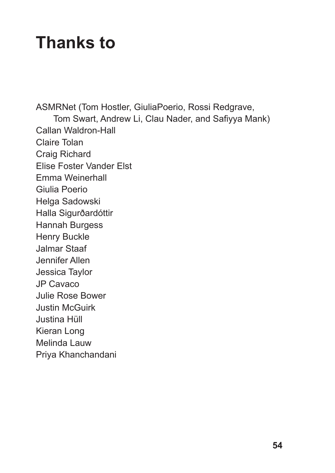# **Thanks to**

ASMRNet (Tom Hostler, GiuliaPoerio, Rossi Redgrave, Tom Swart, Andrew Li, Clau Nader, and Safiyya Mank) Callan Waldron-Hall Claire Tolan Craig Richard Elise Foster Vander Elst Emma Weinerhall Giulia Poerio Helga Sadowski Halla Sigurðardóttir Hannah Burgess Henry Buckle Jalmar Staaf Jennifer Allen Jessica Taylor JP Cavaco Julie Rose Bower Justin McGuirk Justina Hüll Kieran Long Melinda Lauw

Priya Khanchandani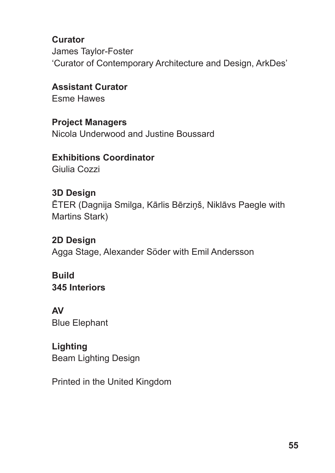**Curator** James Taylor-Foster 'Curator of Contemporary Architecture and Design, ArkDes'

**Assistant Curator** Esme Hawes

#### **Project Managers**

Nicola Underwood and Justine Boussard

# **Exhibitions Coordinator**

Giulia Cozzi

### **3D Design**

ĒTER (Dagnija Smilga, Kārlis Bērziņš, Niklāvs Paegle with Martins Stark)

# **2D Design**

Agga Stage, Alexander Söder with Emil Andersson

**Build 345 Interiors**

**AV** Blue Elephant

### **Lighting**

Beam Lighting Design

Printed in the United Kingdom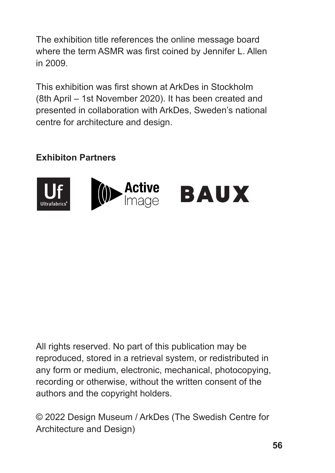The exhibition title references the online message board where the term ASMR was first coined by Jennifer L. Allen in 2009.

This exhibition was first shown at ArkDes in Stockholm (8th April – 1st November 2020). It has been created and presented in collaboration with ArkDes, Sweden's national centre for architecture and design.

# **Exhibiton Partners**



All rights reserved. No part of this publication may be reproduced, stored in a retrieval system, or redistributed in any form or medium, electronic, mechanical, photocopying, recording or otherwise, without the written consent of the authors and the copyright holders.

© 2022 Design Museum / ArkDes (The Swedish Centre for Architecture and Design)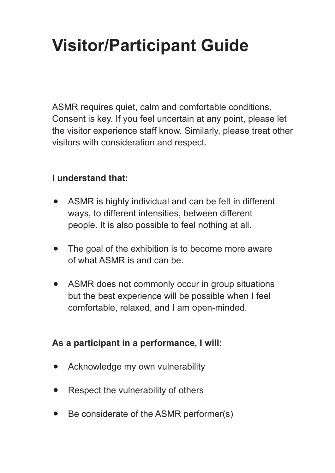# **Visitor/Participant Guide**

ASMR requires quiet, calm and comfortable conditions. Consent is key. If you feel uncertain at any point, please let the visitor experience staff know. Similarly, please treat other visitors with consideration and respect.

#### **I understand that:**

- ASMR is highly individual and can be felt in different ways, to different intensities, between different people. It is also possible to feel nothing at all.
- The goal of the exhibition is to become more aware of what ASMR is and can be.
- ASMR does not commonly occur in group situations  $\bullet$ but the best experience will be possible when I feel comfortable, relaxed, and I am open-minded.

### **As a participant in a performance, I will:**

- Acknowledge my own vulnerability
- Respect the vulnerability of others  $\bullet$
- Be considerate of the ASMR performer(s)  $\bullet$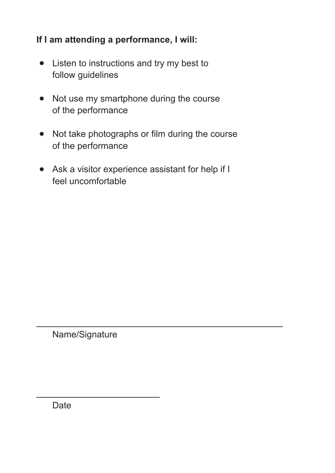#### **If I am attending a performance, I will:**

- Listen to instructions and try my best to follow guidelines
- Not use my smartphone during the course of the performance
- Not take photographs or film during the course of the performance
- Ask a visitor experience assistant for help if I feel uncomfortable

Name/Signature

Date